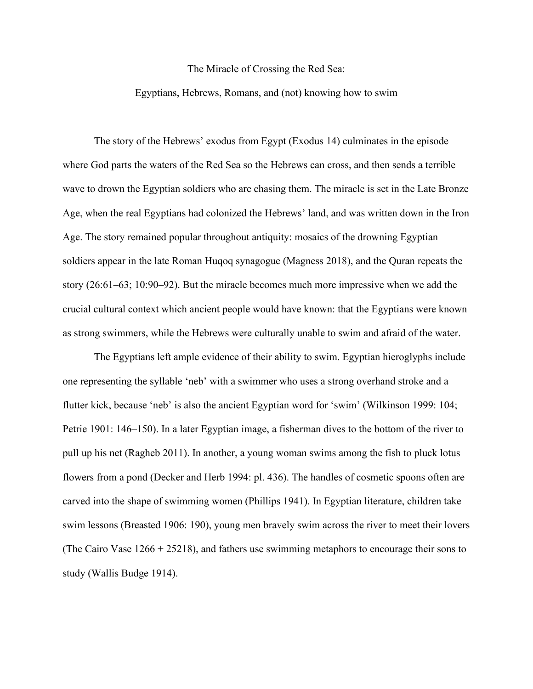## The Miracle of Crossing the Red Sea:

## Egyptians, Hebrews, Romans, and (not) knowing how to swim

The story of the Hebrews' exodus from Egypt (Exodus 14) culminates in the episode where God parts the waters of the Red Sea so the Hebrews can cross, and then sends a terrible wave to drown the Egyptian soldiers who are chasing them. The miracle is set in the Late Bronze Age, when the real Egyptians had colonized the Hebrews' land, and was written down in the Iron Age. The story remained popular throughout antiquity: mosaics of the drowning Egyptian soldiers appear in the late Roman Huqoq synagogue (Magness 2018), and the Quran repeats the story (26:61–63; 10:90–92). But the miracle becomes much more impressive when we add the crucial cultural context which ancient people would have known: that the Egyptians were known as strong swimmers, while the Hebrews were culturally unable to swim and afraid of the water.

The Egyptians left ample evidence of their ability to swim. Egyptian hieroglyphs include one representing the syllable 'neb' with a swimmer who uses a strong overhand stroke and a flutter kick, because 'neb' is also the ancient Egyptian word for 'swim' (Wilkinson 1999: 104; Petrie 1901: 146–150). In a later Egyptian image, a fisherman dives to the bottom of the river to pull up his net (Ragheb 2011). In another, a young woman swims among the fish to pluck lotus flowers from a pond (Decker and Herb 1994: pl. 436). The handles of cosmetic spoons often are carved into the shape of swimming women (Phillips 1941). In Egyptian literature, children take swim lessons (Breasted 1906: 190), young men bravely swim across the river to meet their lovers (The Cairo Vase 1266 + 25218), and fathers use swimming metaphors to encourage their sons to study (Wallis Budge 1914).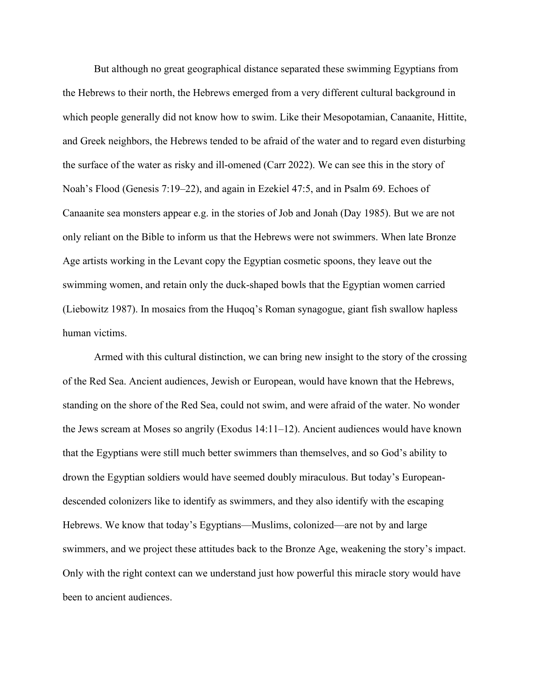But although no great geographical distance separated these swimming Egyptians from the Hebrews to their north, the Hebrews emerged from a very different cultural background in which people generally did not know how to swim. Like their Mesopotamian, Canaanite, Hittite, and Greek neighbors, the Hebrews tended to be afraid of the water and to regard even disturbing the surface of the water as risky and ill-omened (Carr 2022). We can see this in the story of Noah's Flood (Genesis 7:19–22), and again in Ezekiel 47:5, and in Psalm 69. Echoes of Canaanite sea monsters appear e.g. in the stories of Job and Jonah (Day 1985). But we are not only reliant on the Bible to inform us that the Hebrews were not swimmers. When late Bronze Age artists working in the Levant copy the Egyptian cosmetic spoons, they leave out the swimming women, and retain only the duck-shaped bowls that the Egyptian women carried (Liebowitz 1987). In mosaics from the Huqoq's Roman synagogue, giant fish swallow hapless human victims.

Armed with this cultural distinction, we can bring new insight to the story of the crossing of the Red Sea. Ancient audiences, Jewish or European, would have known that the Hebrews, standing on the shore of the Red Sea, could not swim, and were afraid of the water. No wonder the Jews scream at Moses so angrily (Exodus 14:11–12). Ancient audiences would have known that the Egyptians were still much better swimmers than themselves, and so God's ability to drown the Egyptian soldiers would have seemed doubly miraculous. But today's Europeandescended colonizers like to identify as swimmers, and they also identify with the escaping Hebrews. We know that today's Egyptians—Muslims, colonized—are not by and large swimmers, and we project these attitudes back to the Bronze Age, weakening the story's impact. Only with the right context can we understand just how powerful this miracle story would have been to ancient audiences.